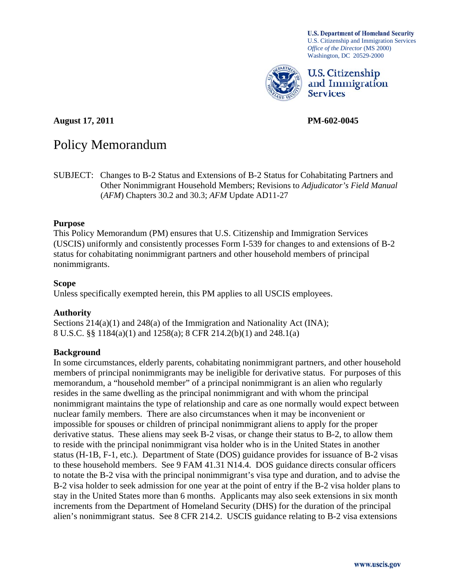**U.S. Department of Homeland Security** U.S. Citizenship and Immigration Services *Office of the Director* (MS 2000) Washington, DC 20529-2000



U.S. Citizenship and Immigration **Services** 

**August 17, 2011 PM-602-0045** 

# Policy Memorandum

SUBJECT: Changes to B-2 Status and Extensions of B-2 Status for Cohabitating Partners and Other Nonimmigrant Household Members; Revisions to *Adjudicator's Field Manual*  (*AFM*) Chapters 30.2 and 30.3; *AFM* Update AD11-27

#### **Purpose**

This Policy Memorandum (PM) ensures that U.S. Citizenship and Immigration Services (USCIS) uniformly and consistently processes Form I-539 for changes to and extensions of B-2 status for cohabitating nonimmigrant partners and other household members of principal nonimmigrants.

#### **Scope**

Unless specifically exempted herein, this PM applies to all USCIS employees.

# **Authority**

Sections 214(a)(1) and 248(a) of the Immigration and Nationality Act (INA); 8 U.S.C. §§ 1184(a)(1) and 1258(a); 8 CFR 214.2(b)(1) and 248.1(a)

# **Background**

In some circumstances, elderly parents, cohabitating nonimmigrant partners, and other household members of principal nonimmigrants may be ineligible for derivative status. For purposes of this memorandum, a "household member" of a principal nonimmigrant is an alien who regularly resides in the same dwelling as the principal nonimmigrant and with whom the principal nonimmigrant maintains the type of relationship and care as one normally would expect between nuclear family members. There are also circumstances when it may be inconvenient or impossible for spouses or children of principal nonimmigrant aliens to apply for the proper derivative status. These aliens may seek B-2 visas, or change their status to B-2, to allow them to reside with the principal nonimmigrant visa holder who is in the United States in another status (H-1B, F-1, etc.). Department of State (DOS) guidance provides for issuance of B-2 visas to these household members. See 9 FAM 41.31 N14.4. DOS guidance directs consular officers to notate the B-2 visa with the principal nonimmigrant's visa type and duration, and to advise the B-2 visa holder to seek admission for one year at the point of entry if the B-2 visa holder plans to stay in the United States more than 6 months. Applicants may also seek extensions in six month increments from the Department of Homeland Security (DHS) for the duration of the principal alien's nonimmigrant status. See 8 CFR 214.2. USCIS guidance relating to B-2 visa extensions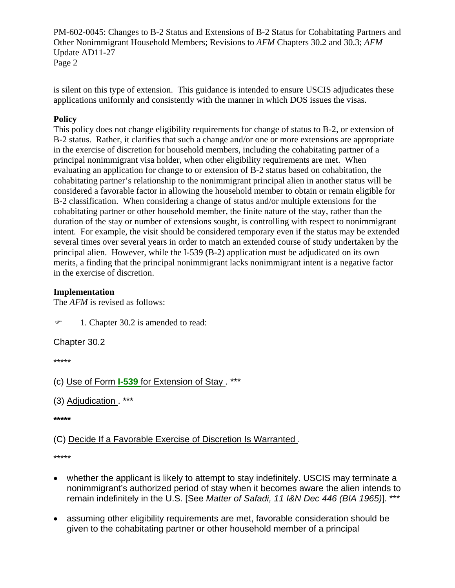PM-602-0045: Changes to B-2 Status and Extensions of B-2 Status for Cohabitating Partners and Other Nonimmigrant Household Members; Revisions to *AFM* Chapters 30.2 and 30.3; *AFM* Update AD11-27 Page 2

is silent on this type of extension. This guidance is intended to ensure USCIS adjudicates these applications uniformly and consistently with the manner in which DOS issues the visas.

# **Policy**

This policy does not change eligibility requirements for change of status to B-2, or extension of B-2 status. Rather, it clarifies that such a change and/or one or more extensions are appropriate in the exercise of discretion for household members, including the cohabitating partner of a principal nonimmigrant visa holder, when other eligibility requirements are met. When evaluating an application for change to or extension of B-2 status based on cohabitation, the cohabitating partner's relationship to the nonimmigrant principal alien in another status will be considered a favorable factor in allowing the household member to obtain or remain eligible for B-2 classification. When considering a change of status and/or multiple extensions for the cohabitating partner or other household member, the finite nature of the stay, rather than the duration of the stay or number of extensions sought, is controlling with respect to nonimmigrant intent. For example, the visit should be considered temporary even if the status may be extended several times over several years in order to match an extended course of study undertaken by the principal alien. However, while the I-539 (B-2) application must be adjudicated on its own merits, a finding that the principal nonimmigrant lacks nonimmigrant intent is a negative factor in the exercise of discretion.

#### **Implementation**

The *AFM* is revised as follows:

 $\mathcal{P}$ 1. Chapter 30.2 is amended to read:

Chapter 30.2

\*\*\*\*\*

```
(c) Use of Form I-539 for Extension of Stay . ***
```
(3) Adjudication . \*\*\*

**\*\*\*\*\*** 

(C) Decide If a Favorable Exercise of Discretion Is Warranted .

\*\*\*\*\*

- whether the applicant is likely to attempt to stay indefinitely. USCIS may terminate a nonimmigrant's authorized period of stay when it becomes aware the alien intends to remain indefinitely in the U.S. [See *Matter of Safadi, 11 I&N Dec 446 (BIA 1965)*]. \*\*\*
- assuming other eligibility requirements are met, favorable consideration should be given to the cohabitating partner or other household member of a principal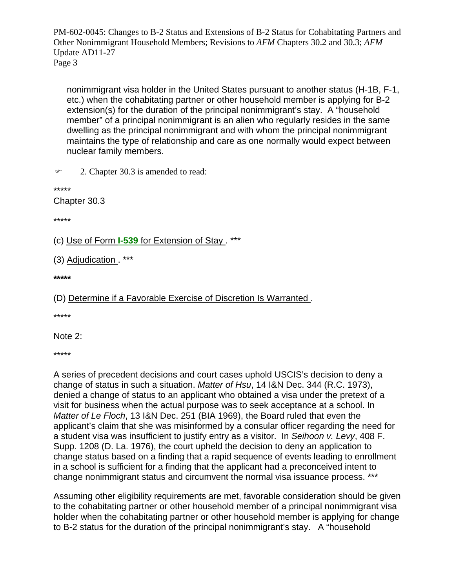PM-602-0045: Changes to B-2 Status and Extensions of B-2 Status for Cohabitating Partners and Other Nonimmigrant Household Members; Revisions to *AFM* Chapters 30.2 and 30.3; *AFM* Update AD11-27 Page 3

nonimmigrant visa holder in the United States pursuant to another status (H-1B, F-1, etc.) when the cohabitating partner or other household member is applying for B-2 extension(s) for the duration of the principal nonimmigrant's stay. A "household member" of a principal nonimmigrant is an alien who regularly resides in the same dwelling as the principal nonimmigrant and with whom the principal nonimmigrant maintains the type of relationship and care as one normally would expect between nuclear family members.

 $\mathcal{P}$ 2. Chapter 30.3 is amended to read:

\*\*\*\*\*

Chapter 30.3

\*\*\*\*\*

(c) Use of Form **I-539** for Extension of Stay . \*\*\*

(3) Adjudication . \*\*\*

**\*\*\*\*\*** 

(D) Determine if a Favorable Exercise of Discretion Is Warranted .

\*\*\*\*\*

Note 2:

\*\*\*\*\*

A series of precedent decisions and court cases uphold USCIS's decision to deny a change of status in such a situation. *Matter of Hsu*, 14 I&N Dec. 344 (R.C. 1973), denied a change of status to an applicant who obtained a visa under the pretext of a visit for business when the actual purpose was to seek acceptance at a school. In *Matter of Le Floch*, 13 I&N Dec. 251 (BIA 1969), the Board ruled that even the applicant's claim that she was misinformed by a consular officer regarding the need for a student visa was insufficient to justify entry as a visitor. In *Seihoon v. Levy*, 408 F. Supp. 1208 (D. La. 1976), the court upheld the decision to deny an application to change status based on a finding that a rapid sequence of events leading to enrollment in a school is sufficient for a finding that the applicant had a preconceived intent to change nonimmigrant status and circumvent the normal visa issuance process. \*\*\*

Assuming other eligibility requirements are met, favorable consideration should be given to the cohabitating partner or other household member of a principal nonimmigrant visa holder when the cohabitating partner or other household member is applying for change to B-2 status for the duration of the principal nonimmigrant's stay. A "household